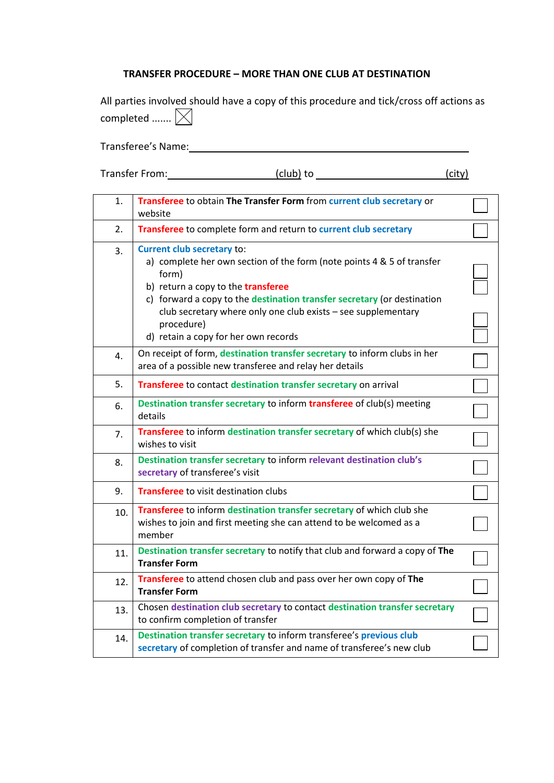## **TRANSFER PROCEDURE – MORE THAN ONE CLUB AT DESTINATION**

|                       | All parties involved should have a copy of this procedure and tick/cross off actions as |  |  |
|-----------------------|-----------------------------------------------------------------------------------------|--|--|
| completed $\boxtimes$ |                                                                                         |  |  |

Transferee's Name:

| Transfer From: | (club) to | (city) |
|----------------|-----------|--------|
|----------------|-----------|--------|

| 1.  | Transferee to obtain The Transfer Form from current club secretary or<br>website                                                                                                                                                                                                                                                                             |  |
|-----|--------------------------------------------------------------------------------------------------------------------------------------------------------------------------------------------------------------------------------------------------------------------------------------------------------------------------------------------------------------|--|
| 2.  | Transferee to complete form and return to current club secretary                                                                                                                                                                                                                                                                                             |  |
| 3.  | <b>Current club secretary to:</b><br>a) complete her own section of the form (note points 4 & 5 of transfer<br>form)<br>b) return a copy to the transferee<br>c) forward a copy to the destination transfer secretary (or destination<br>club secretary where only one club exists - see supplementary<br>procedure)<br>d) retain a copy for her own records |  |
| 4.  | On receipt of form, destination transfer secretary to inform clubs in her<br>area of a possible new transferee and relay her details                                                                                                                                                                                                                         |  |
| 5.  | Transferee to contact destination transfer secretary on arrival                                                                                                                                                                                                                                                                                              |  |
| 6.  | Destination transfer secretary to inform transferee of club(s) meeting<br>details                                                                                                                                                                                                                                                                            |  |
| 7.  | Transferee to inform destination transfer secretary of which club(s) she<br>wishes to visit                                                                                                                                                                                                                                                                  |  |
| 8.  | Destination transfer secretary to inform relevant destination club's<br>secretary of transferee's visit                                                                                                                                                                                                                                                      |  |
| 9.  | <b>Transferee</b> to visit destination clubs                                                                                                                                                                                                                                                                                                                 |  |
| 10. | Transferee to inform destination transfer secretary of which club she<br>wishes to join and first meeting she can attend to be welcomed as a<br>member                                                                                                                                                                                                       |  |
| 11. | Destination transfer secretary to notify that club and forward a copy of The<br><b>Transfer Form</b>                                                                                                                                                                                                                                                         |  |
| 12. | Transferee to attend chosen club and pass over her own copy of The<br><b>Transfer Form</b>                                                                                                                                                                                                                                                                   |  |
| 13. | Chosen destination club secretary to contact destination transfer secretary<br>to confirm completion of transfer                                                                                                                                                                                                                                             |  |
| 14. | Destination transfer secretary to inform transferee's previous club<br>secretary of completion of transfer and name of transferee's new club                                                                                                                                                                                                                 |  |